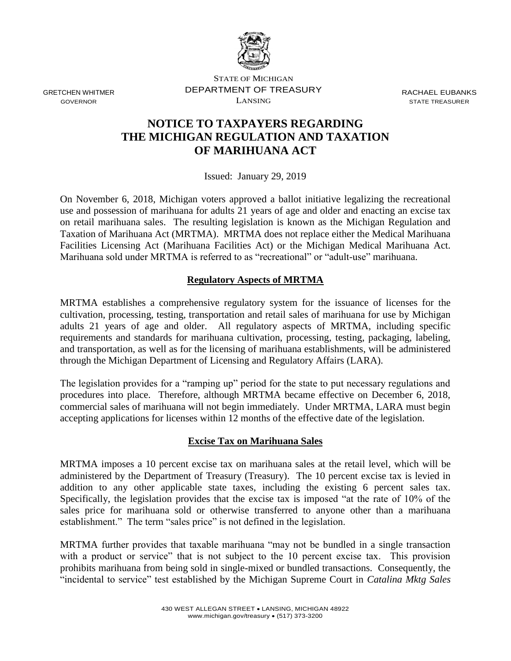

GRETCHEN WHITMER GOVERNOR

STATE OF MICHIGAN DEPARTMENT OF TREASURY LANSING

RACHAEL EUBANKS STATE TREASURER

# **NOTICE TO TAXPAYERS REGARDING THE MICHIGAN REGULATION AND TAXATION OF MARIHUANA ACT**

Issued: January 29, 2019

On November 6, 2018, Michigan voters approved a ballot initiative legalizing the recreational use and possession of marihuana for adults 21 years of age and older and enacting an excise tax on retail marihuana sales. The resulting legislation is known as the Michigan Regulation and Taxation of Marihuana Act (MRTMA). MRTMA does not replace either the Medical Marihuana Facilities Licensing Act (Marihuana Facilities Act) or the Michigan Medical Marihuana Act. Marihuana sold under MRTMA is referred to as "recreational" or "adult-use" marihuana.

## **Regulatory Aspects of MRTMA**

MRTMA establishes a comprehensive regulatory system for the issuance of licenses for the cultivation, processing, testing, transportation and retail sales of marihuana for use by Michigan adults 21 years of age and older. All regulatory aspects of MRTMA, including specific requirements and standards for marihuana cultivation, processing, testing, packaging, labeling, and transportation, as well as for the licensing of marihuana establishments, will be administered through the Michigan Department of Licensing and Regulatory Affairs (LARA).

The legislation provides for a "ramping up" period for the state to put necessary regulations and procedures into place. Therefore, although MRTMA became effective on December 6, 2018, commercial sales of marihuana will not begin immediately. Under MRTMA, LARA must begin accepting applications for licenses within 12 months of the effective date of the legislation.

## **Excise Tax on Marihuana Sales**

MRTMA imposes a 10 percent excise tax on marihuana sales at the retail level, which will be administered by the Department of Treasury (Treasury). The 10 percent excise tax is levied in addition to any other applicable state taxes, including the existing 6 percent sales tax. Specifically, the legislation provides that the excise tax is imposed "at the rate of 10% of the sales price for marihuana sold or otherwise transferred to anyone other than a marihuana establishment." The term "sales price" is not defined in the legislation.

MRTMA further provides that taxable marihuana "may not be bundled in a single transaction with a product or service" that is not subject to the 10 percent excise tax. This provision prohibits marihuana from being sold in single-mixed or bundled transactions. Consequently, the "incidental to service" test established by the Michigan Supreme Court in *Catalina Mktg Sales*